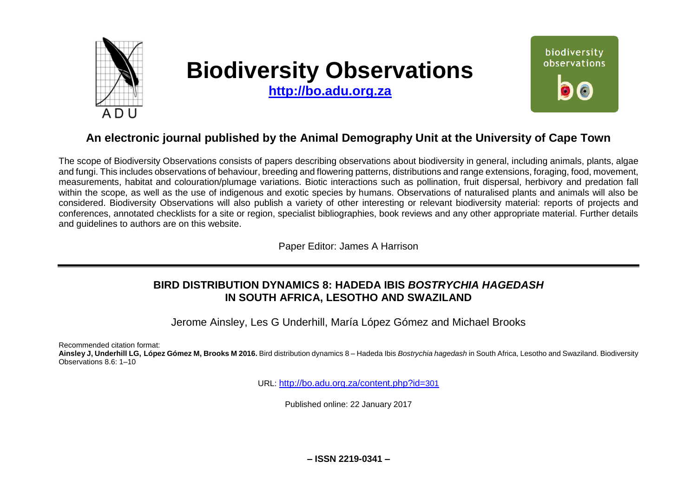

# **Biodiversity Observations**

**[http://bo.adu.org.za](http://bo.adu.org.za/)**



# **An electronic journal published by the Animal Demography Unit at the University of Cape Town**

The scope of Biodiversity Observations consists of papers describing observations about biodiversity in general, including animals, plants, algae and fungi. This includes observations of behaviour, breeding and flowering patterns, distributions and range extensions, foraging, food, movement, measurements, habitat and colouration/plumage variations. Biotic interactions such as pollination, fruit dispersal, herbivory and predation fall within the scope, as well as the use of indigenous and exotic species by humans. Observations of naturalised plants and animals will also be considered. Biodiversity Observations will also publish a variety of other interesting or relevant biodiversity material: reports of projects and conferences, annotated checklists for a site or region, specialist bibliographies, book reviews and any other appropriate material. Further details and guidelines to authors are on this website.

Paper Editor: James A Harrison

# **BIRD DISTRIBUTION DYNAMICS 8: HADEDA IBIS** *BOSTRYCHIA HAGEDASH*  **IN SOUTH AFRICA, LESOTHO AND SWAZILAND**

Jerome Ainsley, Les G Underhill, María López Gómez and Michael Brooks

Recommended citation format:

**Ainsley J, Underhill LG, López Gómez M, Brooks M 2016.** Bird distribution dynamics 8 – Hadeda Ibis *Bostrychia hagedash* in South Africa, Lesotho and Swaziland. Biodiversity Observations 8.6: 1–10

URL: [http://bo.adu.org.za/content.php?id=](http://bo.adu.org.za/content.php?id=301)301

Published online: 22 January 2017

**– ISSN 2219-0341 –**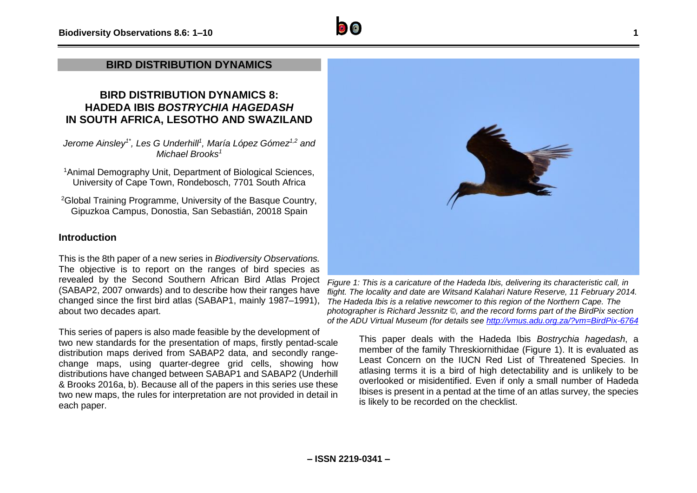## **BIRD DISTRIBUTION DYNAMICS**

# **BIRD DISTRIBUTION DYNAMICS 8: HADEDA IBIS** *BOSTRYCHIA HAGEDASH*  **IN SOUTH AFRICA, LESOTHO AND SWAZILAND**

*Jerome Ainsley1\* , Les G Underhill<sup>1</sup> , María López Gómez1,2 and Michael Brooks<sup>1</sup>*

<sup>1</sup>Animal Demography Unit, Department of Biological Sciences, University of Cape Town, Rondebosch, 7701 South Africa

<sup>2</sup>Global Training Programme, University of the Basque Country, Gipuzkoa Campus, Donostia, San Sebastián, 20018 Spain

## **Introduction**

This is the 8th paper of a new series in *Biodiversity Observations.*  The objective is to report on the ranges of bird species as revealed by the Second Southern African Bird Atlas Project (SABAP2, 2007 onwards) and to describe how their ranges have changed since the first bird atlas (SABAP1, mainly 1987–1991), about two decades apart.

This series of papers is also made feasible by the development of two new standards for the presentation of maps, firstly pentad-scale distribution maps derived from SABAP2 data, and secondly rangechange maps, using quarter-degree grid cells, showing how distributions have changed between SABAP1 and SABAP2 (Underhill & Brooks 2016a, b). Because all of the papers in this series use these two new maps, the rules for interpretation are not provided in detail in each paper.



*Figure 1: This is a caricature of the Hadeda Ibis, delivering its characteristic call, in flight. The locality and date are Witsand Kalahari Nature Reserve, 11 February 2014. The Hadeda Ibis is a relative newcomer to this region of the Northern Cape. The photographer is Richard Jessnitz ©, and the record forms part of the BirdPix section of the ADU Virtual Museum (for details see<http://vmus.adu.org.za/?vm=BirdPix-6764>*

This paper deals with the Hadeda Ibis *Bostrychia hagedash*, a member of the family Threskiornithidae (Figure 1). It is evaluated as Least Concern on the IUCN Red List of Threatened Species. In atlasing terms it is a bird of high detectability and is unlikely to be overlooked or misidentified. Even if only a small number of Hadeda Ibises is present in a pentad at the time of an atlas survey, the species is likely to be recorded on the checklist.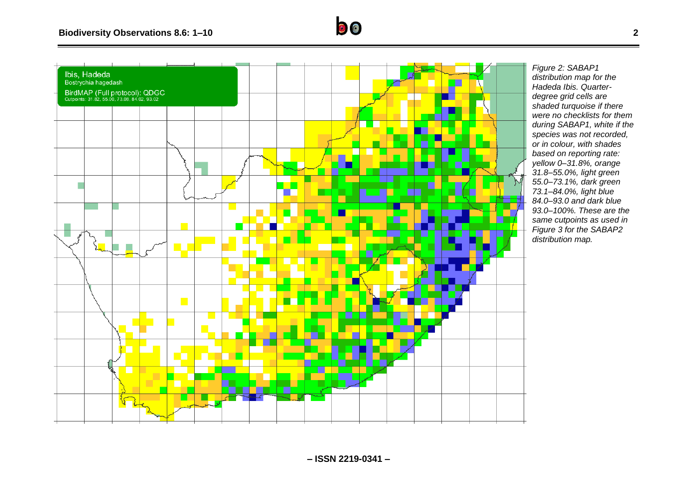



*Figure 2: SABAP1 distribution map for the Hadeda Ibis. Quarterdegree grid cells are shaded turquoise if there were no checklists for them during SABAP1, white if the species was not recorded, or in colour, with shades based on reporting rate: yellow 0–31.8%, orange 31.8–55.0%, light green 55.0–73.1%, dark green 73.1–84.0%, light blue 84.0–93.0 and dark blue 93.0–100%. These are the same cutpoints as used in Figure 3 for the SABAP2 distribution map.*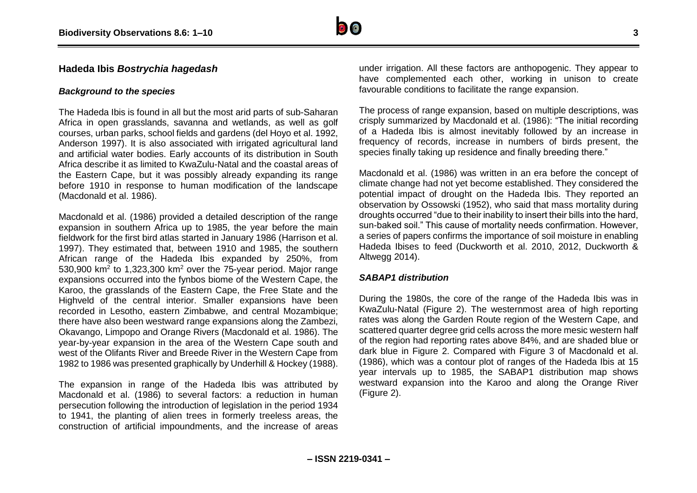

## **Hadeda Ibis** *Bostrychia hagedash*

#### *Background to the species*

The Hadeda Ibis is found in all but the most arid parts of sub-Saharan Africa in open grasslands, savanna and wetlands, as well as golf courses, urban parks, school fields and gardens (del Hoyo et al. 1992, Anderson 1997). It is also associated with irrigated agricultural land and artificial water bodies. Early accounts of its distribution in South Africa describe it as limited to KwaZulu-Natal and the coastal areas of the Eastern Cape, but it was possibly already expanding its range before 1910 in response to human modification of the landscape (Macdonald et al. 1986).

Macdonald et al. (1986) provided a detailed description of the range expansion in southern Africa up to 1985, the year before the main fieldwork for the first bird atlas started in January 1986 (Harrison et al. 1997). They estimated that, between 1910 and 1985, the southern African range of the Hadeda Ibis expanded by 250%, from 530,900 km<sup>2</sup> to 1,323,300 km<sup>2</sup> over the 75-year period. Major range expansions occurred into the fynbos biome of the Western Cape, the Karoo, the grasslands of the Eastern Cape, the Free State and the Highveld of the central interior. Smaller expansions have been recorded in Lesotho, eastern Zimbabwe, and central Mozambique; there have also been westward range expansions along the Zambezi, Okavango, Limpopo and Orange Rivers (Macdonald et al. 1986). The year-by-year expansion in the area of the Western Cape south and west of the Olifants River and Breede River in the Western Cape from 1982 to 1986 was presented graphically by Underhill & Hockey (1988).

The expansion in range of the Hadeda Ibis was attributed by Macdonald et al. (1986) to several factors: a reduction in human persecution following the introduction of legislation in the period 1934 to 1941, the planting of alien trees in formerly treeless areas, the construction of artificial impoundments, and the increase of areas

under irrigation. All these factors are anthopogenic. They appear to have complemented each other, working in unison to create favourable conditions to facilitate the range expansion.

The process of range expansion, based on multiple descriptions, was crisply summarized by Macdonald et al. (1986): "The initial recording of a Hadeda Ibis is almost inevitably followed by an increase in frequency of records, increase in numbers of birds present, the species finally taking up residence and finally breeding there."

Macdonald et al. (1986) was written in an era before the concept of climate change had not yet become established. They considered the potential impact of drought on the Hadeda Ibis. They reported an observation by Ossowski (1952), who said that mass mortality during droughts occurred "due to their inability to insert their bills into the hard, sun-baked soil." This cause of mortality needs confirmation. However, a series of papers confirms the importance of soil moisture in enabling Hadeda Ibises to feed (Duckworth et al. 2010, 2012, Duckworth & Altwegg 2014).

#### *SABAP1 distribution*

During the 1980s, the core of the range of the Hadeda Ibis was in KwaZulu-Natal (Figure 2). The westernmost area of high reporting rates was along the Garden Route region of the Western Cape, and scattered quarter degree grid cells across the more mesic western half of the region had reporting rates above 84%, and are shaded blue or dark blue in Figure 2. Compared with Figure 3 of Macdonald et al. (1986), which was a contour plot of ranges of the Hadeda Ibis at 15 year intervals up to 1985, the SABAP1 distribution map shows westward expansion into the Karoo and along the Orange River (Figure 2).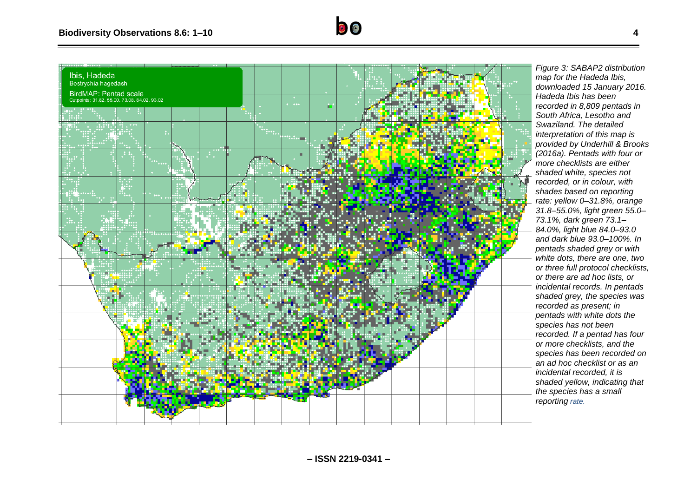

*Figure 3 : SABAP2 distribution map for the Hadeda Ibis, downloaded 15 January 2016. Hadeda Ibis has been recorded in 8,809 pentads in South Africa, Lesotho and Swaziland. The detailed interpretation of this map is provided by Underhill & Brooks (2016a). Pentads with four or more checklists are either shaded white, species not recorded, or in colour, with shades based on reporting rate: yellow 0– 31.8%, orange 31.8–55.0%, light green 55.0– 73.1%, dark green 73.1– 84.0%, light blue 84.0–93.0 and dark blue 93.0–100%. In pentads shaded grey or with white dots, there are one, two or three full protocol checklists, or there are ad hoc lists, or incidental records. In pentads shaded grey, the species was recorded as present; in pentads with white dots the species has not been recorded. If a pentad has four or more checklists, and the species has been recorded on an ad hoc checklist or as an incidental recorded, it is shaded yellow, indicating that the species has a small reporting rate.*

 $\bullet$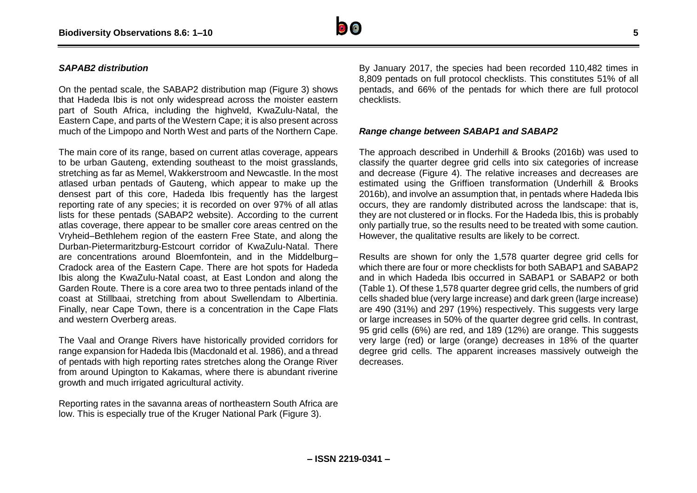

#### *SAPAB2 distribution*

On the pentad scale, the SABAP2 distribution map (Figure 3) shows that Hadeda Ibis is not only widespread across the moister eastern part of South Africa, including the highveld, KwaZulu-Natal, the Eastern Cape, and parts of the Western Cape; it is also present across much of the Limpopo and North West and parts of the Northern Cape.

The main core of its range, based on current atlas coverage, appears to be urban Gauteng, extending southeast to the moist grasslands, stretching as far as Memel, Wakkerstroom and Newcastle. In the most atlased urban pentads of Gauteng, which appear to make up the densest part of this core, Hadeda Ibis frequently has the largest reporting rate of any species; it is recorded on over 97% of all atlas lists for these pentads (SABAP2 website). According to the current atlas coverage, there appear to be smaller core areas centred on the Vryheid–Bethlehem region of the eastern Free State, and along the Durban-Pietermaritzburg-Estcourt corridor of KwaZulu-Natal. There are concentrations around Bloemfontein, and in the Middelburg– Cradock area of the Eastern Cape. There are hot spots for Hadeda Ibis along the KwaZulu-Natal coast, at East London and along the Garden Route. There is a core area two to three pentads inland of the coast at Stillbaai, stretching from about Swellendam to Albertinia. Finally, near Cape Town, there is a concentration in the Cape Flats and western Overberg areas.

The Vaal and Orange Rivers have historically provided corridors for range expansion for Hadeda Ibis (Macdonald et al. 1986), and a thread of pentads with high reporting rates stretches along the Orange River from around Upington to Kakamas, where there is abundant riverine growth and much irrigated agricultural activity.

Reporting rates in the savanna areas of northeastern South Africa are low. This is especially true of the Kruger National Park (Figure 3).

By January 2017, the species had been recorded 110,482 times in 8,809 pentads on full protocol checklists. This constitutes 51% of all pentads, and 66% of the pentads for which there are full protocol checklists.

#### *Range change between SABAP1 and SABAP2*

The approach described in Underhill & Brooks (2016b) was used to classify the quarter degree grid cells into six categories of increase and decrease (Figure 4). The relative increases and decreases are estimated using the Griffioen transformation (Underhill & Brooks 2016b), and involve an assumption that, in pentads where Hadeda Ibis occurs, they are randomly distributed across the landscape: that is, they are not clustered or in flocks. For the Hadeda Ibis, this is probably only partially true, so the results need to be treated with some caution. However, the qualitative results are likely to be correct.

Results are shown for only the 1,578 quarter degree grid cells for which there are four or more checklists for both SABAP1 and SABAP2 and in which Hadeda Ibis occurred in SABAP1 or SABAP2 or both (Table 1). Of these 1,578 quarter degree grid cells, the numbers of grid cells shaded blue (very large increase) and dark green (large increase) are 490 (31%) and 297 (19%) respectively. This suggests very large or large increases in 50% of the quarter degree grid cells. In contrast, 95 grid cells (6%) are red, and 189 (12%) are orange. This suggests very large (red) or large (orange) decreases in 18% of the quarter degree grid cells. The apparent increases massively outweigh the decreases.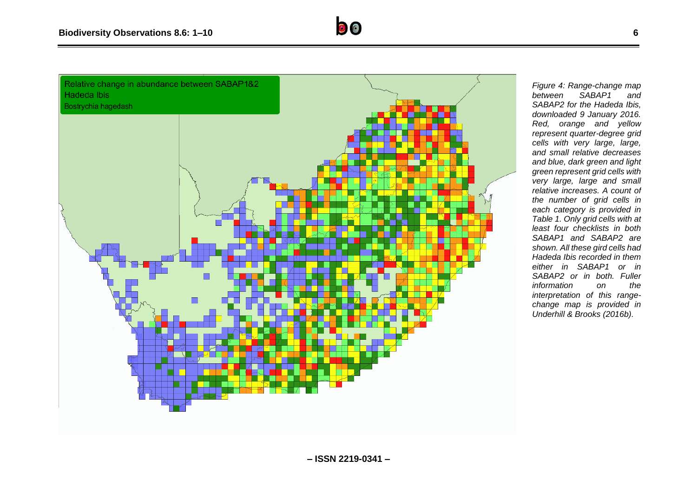

*Figure 4: Range-change map*   $SABAP1$ *SABAP2 for the Hadeda Ibis, downloaded 9 January 2016. Red, orange and yellow represent quarter-degree grid cells with very large, large, and small relative decreases and blue, dark green and light green represent grid cells with very large, large and small relative increases. A count of the number of grid cells in each category is provided in Table 1. Only grid cells with at least four checklists in both SABAP1 and SABAP2 are shown. All these gird cells had Hadeda Ibis recorded in them either in SABAP1 or in SABAP2 or in both. Fuller information on the interpretation of this rangechange map is provided in Underhill & Brooks (2016b).*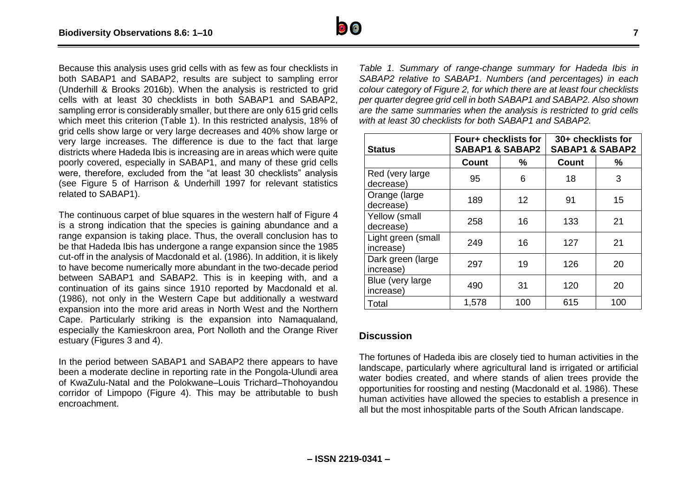

Because this analysis uses grid cells with as few as four checklists in both SABAP1 and SABAP2, results are subject to sampling error (Underhill & Brooks 2016b). When the analysis is restricted to grid cells with at least 30 checklists in both SABAP1 and SABAP2, sampling error is considerably smaller, but there are only 615 grid cells which meet this criterion (Table 1). In this restricted analysis, 18% of grid cells show large or very large decreases and 40% show large or very large increases. The difference is due to the fact that large districts where Hadeda Ibis is increasing are in areas which were quite poorly covered, especially in SABAP1, and many of these grid cells were, therefore, excluded from the "at least 30 checklists" analysis (see Figure 5 of Harrison & Underhill 1997 for relevant statistics related to SABAP1).

The continuous carpet of blue squares in the western half of Figure 4 is a strong indication that the species is gaining abundance and a range expansion is taking place. Thus, the overall conclusion has to be that Hadeda Ibis has undergone a range expansion since the 1985 cut-off in the analysis of Macdonald et al. (1986). In addition, it is likely to have become numerically more abundant in the two-decade period between SABAP1 and SABAP2. This is in keeping with, and a continuation of its gains since 1910 reported by Macdonald et al. (1986), not only in the Western Cape but additionally a westward expansion into the more arid areas in North West and the Northern Cape. Particularly striking is the expansion into Namaqualand, especially the Kamieskroon area, Port Nolloth and the Orange River estuary (Figures 3 and 4).

In the period between SABAP1 and SABAP2 there appears to have been a moderate decline in reporting rate in the Pongola-Ulundi area of KwaZulu-Natal and the Polokwane–Louis Trichard–Thohoyandou corridor of Limpopo (Figure 4). This may be attributable to bush encroachment.

*Table 1. Summary of range-change summary for Hadeda Ibis in SABAP2 relative to SABAP1. Numbers (and percentages) in each colour category of Figure 2, for which there are at least four checklists per quarter degree grid cell in both SABAP1 and SABAP2. Also shown are the same summaries when the analysis is restricted to grid cells with at least 30 checklists for both SABAP1 and SABAP2.*

| <b>Status</b>                   | Four+ checklists for<br><b>SABAP1 &amp; SABAP2</b> |     | 30+ checklists for<br><b>SABAP1 &amp; SABAP2</b> |     |
|---------------------------------|----------------------------------------------------|-----|--------------------------------------------------|-----|
|                                 | <b>Count</b>                                       | %   | <b>Count</b>                                     | %   |
| Red (very large)<br>decrease)   | 95                                                 | 6   | 18                                               | 3   |
| Orange (large<br>decrease)      | 189                                                | 12  | 91                                               | 15  |
| Yellow (small<br>decrease)      | 258                                                | 16  | 133                                              | 21  |
| Light green (small<br>increase) | 249                                                | 16  | 127                                              | 21  |
| Dark green (large<br>increase)  | 297                                                | 19  | 126                                              | 20  |
| Blue (very large<br>increase)   | 490                                                | 31  | 120                                              | 20  |
| Total                           | 1,578                                              | 100 | 615                                              | 100 |

#### **Discussion**

The fortunes of Hadeda ibis are closely tied to human activities in the landscape, particularly where agricultural land is irrigated or artificial water bodies created, and where stands of alien trees provide the opportunities for roosting and nesting (Macdonald et al. 1986). These human activities have allowed the species to establish a presence in all but the most inhospitable parts of the South African landscape.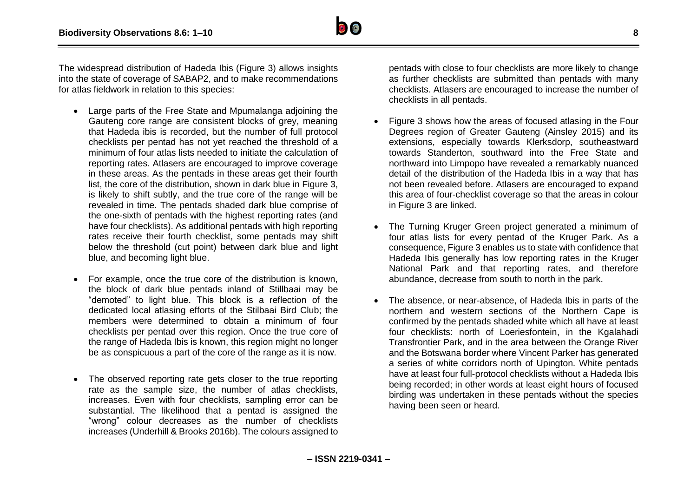

The widespread distribution of Hadeda Ibis (Figure 3) allows insights into the state of coverage of SABAP2, and to make recommendations for atlas fieldwork in relation to this species:

- Large parts of the Free State and Mpumalanga adjoining the Gauteng core range are consistent blocks of grey, meaning that Hadeda ibis is recorded, but the number of full protocol checklists per pentad has not yet reached the threshold of a minimum of four atlas lists needed to initiate the calculation of reporting rates. Atlasers are encouraged to improve coverage in these areas. As the pentads in these areas get their fourth list, the core of the distribution, shown in dark blue in Figure 3, is likely to shift subtly, and the true core of the range will be revealed in time. The pentads shaded dark blue comprise of the one-sixth of pentads with the highest reporting rates (and have four checklists). As additional pentads with high reporting rates receive their fourth checklist, some pentads may shift below the threshold (cut point) between dark blue and light blue, and becoming light blue.
- For example, once the true core of the distribution is known, the block of dark blue pentads inland of Stillbaai may be "demoted" to light blue. This block is a reflection of the dedicated local atlasing efforts of the Stilbaai Bird Club; the members were determined to obtain a minimum of four checklists per pentad over this region. Once the true core of the range of Hadeda Ibis is known, this region might no longer be as conspicuous a part of the core of the range as it is now.
- The observed reporting rate gets closer to the true reporting rate as the sample size, the number of atlas checklists, increases. Even with four checklists, sampling error can be substantial. The likelihood that a pentad is assigned the "wrong" colour decreases as the number of checklists increases (Underhill & Brooks 2016b). The colours assigned to

pentads with close to four checklists are more likely to change as further checklists are submitted than pentads with many checklists. Atlasers are encouraged to increase the number of checklists in all pentads.

- Figure 3 shows how the areas of focused atlasing in the Four Degrees region of Greater Gauteng (Ainsley 2015) and its extensions, especially towards Klerksdorp, southeastward towards Standerton, southward into the Free State and northward into Limpopo have revealed a remarkably nuanced detail of the distribution of the Hadeda Ibis in a way that has not been revealed before. Atlasers are encouraged to expand this area of four-checklist coverage so that the areas in colour in Figure 3 are linked.
- The Turning Kruger Green project generated a minimum of four atlas lists for every pentad of the Kruger Park. As a consequence, Figure 3 enables us to state with confidence that Hadeda Ibis generally has low reporting rates in the Kruger National Park and that reporting rates, and therefore abundance, decrease from south to north in the park.
- The absence, or near-absence, of Hadeda Ibis in parts of the northern and western sections of the Northern Cape is confirmed by the pentads shaded white which all have at least four checklists: north of Loeriesfontein, in the Kgalahadi Transfrontier Park, and in the area between the Orange River and the Botswana border where Vincent Parker has generated a series of white corridors north of Upington. White pentads have at least four full-protocol checklists without a Hadeda Ibis being recorded; in other words at least eight hours of focused birding was undertaken in these pentads without the species having been seen or heard.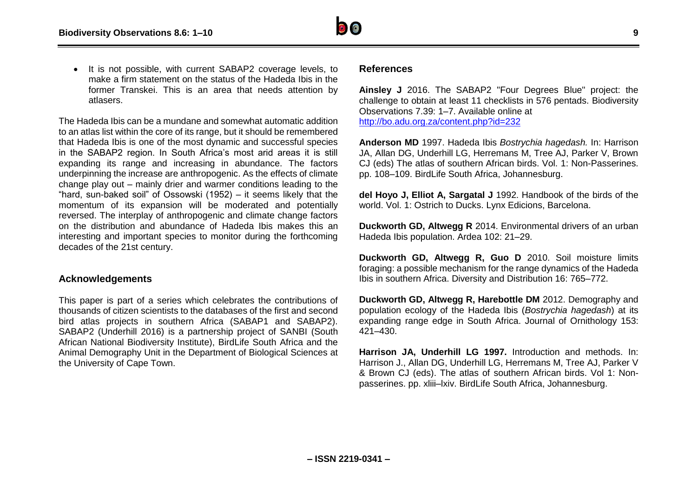

• It is not possible, with current SABAP2 coverage levels, to make a firm statement on the status of the Hadeda Ibis in the former Transkei. This is an area that needs attention by atlasers.

The Hadeda Ibis can be a mundane and somewhat automatic addition to an atlas list within the core of its range, but it should be remembered that Hadeda Ibis is one of the most dynamic and successful species in the SABAP2 region. In South Africa's most arid areas it is still expanding its range and increasing in abundance. The factors underpinning the increase are anthropogenic. As the effects of climate change play out – mainly drier and warmer conditions leading to the "hard, sun-baked soil" of Ossowski (1952) – it seems likely that the momentum of its expansion will be moderated and potentially reversed. The interplay of anthropogenic and climate change factors on the distribution and abundance of Hadeda Ibis makes this an interesting and important species to monitor during the forthcoming decades of the 21st century.

### **Acknowledgements**

This paper is part of a series which celebrates the contributions of thousands of citizen scientists to the databases of the first and second bird atlas projects in southern Africa (SABAP1 and SABAP2). SABAP2 (Underhill 2016) is a partnership project of SANBI (South African National Biodiversity Institute), BirdLife South Africa and the Animal Demography Unit in the Department of Biological Sciences at the University of Cape Town.

#### **References**

**Ainsley J** 2016. The SABAP2 "Four Degrees Blue" project: the challenge to obtain at least 11 checklists in 576 pentads. Biodiversity Observations 7.39: 1–7. Available online at <http://bo.adu.org.za/content.php?id=232>

**Anderson MD** 1997. Hadeda Ibis *Bostrychia hagedash.* In: Harrison JA, Allan DG, Underhill LG, Herremans M, Tree AJ, Parker V, Brown CJ (eds) The atlas of southern African birds. Vol. 1: Non-Passerines. pp. 108–109. BirdLife South Africa, Johannesburg.

**del Hoyo J, Elliot A, Sargatal J** 1992. Handbook of the birds of the world. Vol. 1: Ostrich to Ducks. Lynx Edicions, Barcelona.

**Duckworth GD, Altwegg R** 2014. Environmental drivers of an urban Hadeda Ibis population. Ardea 102: 21–29.

**Duckworth GD, Altwegg R, Guo D** 2010. Soil moisture limits foraging: a possible mechanism for the range dynamics of the Hadeda Ibis in southern Africa. Diversity and Distribution 16: 765–772.

**Duckworth GD, Altwegg R, Harebottle DM** 2012. Demography and population ecology of the Hadeda Ibis (*Bostrychia hagedash*) at its expanding range edge in South Africa. Journal of Ornithology 153: 421–430.

**Harrison JA, Underhill LG 1997.** Introduction and methods. In: Harrison J., Allan DG, Underhill LG, Herremans M, Tree AJ, Parker V & Brown CJ (eds). The atlas of southern African birds. Vol 1: Nonpasserines. pp. xliii–lxiv. BirdLife South Africa, Johannesburg.